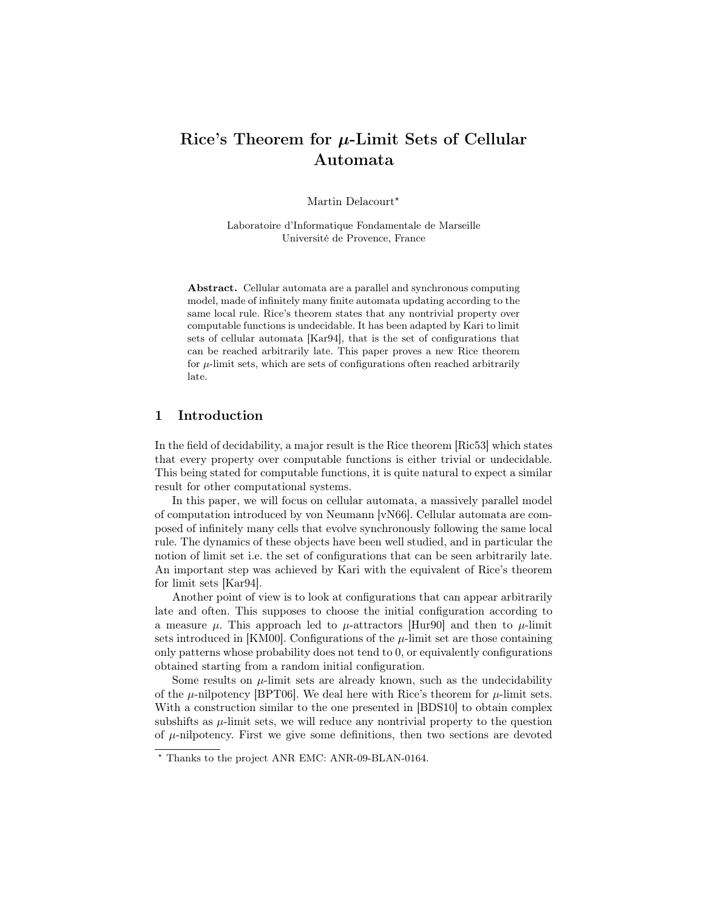# Rice's Theorem for  $\mu$ -Limit Sets of Cellular Automata

Martin Delacourt\*

Laboratoire d'Informatique Fondamentale de Marseille Université de Provence, France

Abstract. Cellular automata are a parallel and synchronous computing model, made of infinitely many finite automata updating according to the same local rule. Rice's theorem states that any nontrivial property over computable functions is undecidable. It has been adapted by Kari to limit sets of cellular automata [Kar94], that is the set of configurations that can be reached arbitrarily late. This paper proves a new Rice theorem for  $\mu$ -limit sets, which are sets of configurations often reached arbitrarily late.

## 1 Introduction

In the field of decidability, a major result is the Rice theorem [Ric53] which states that every property over computable functions is either trivial or undecidable. This being stated for computable functions, it is quite natural to expect a similar result for other computational systems.

In this paper, we will focus on cellular automata, a massively parallel model of computation introduced by von Neumann [vN66]. Cellular automata are composed of infinitely many cells that evolve synchronously following the same local rule. The dynamics of these objects have been well studied, and in particular the notion of limit set i.e. the set of configurations that can be seen arbitrarily late. An important step was achieved by Kari with the equivalent of Rice's theorem for limit sets [Kar94].

Another point of view is to look at configurations that can appear arbitrarily late and often. This supposes to choose the initial configuration according to a measure  $\mu$ . This approach led to  $\mu$ -attractors [Hur90] and then to  $\mu$ -limit sets introduced in [KM00]. Configurations of the  $\mu$ -limit set are those containing only patterns whose probability does not tend to 0, or equivalently configurations obtained starting from a random initial configuration.

Some results on  $\mu$ -limit sets are already known, such as the undecidability of the  $\mu$ -nilpotency [BPT06]. We deal here with Rice's theorem for  $\mu$ -limit sets. With a construction similar to the one presented in [BDS10] to obtain complex subshifts as  $\mu$ -limit sets, we will reduce any nontrivial property to the question of  $\mu$ -nilpotency. First we give some definitions, then two sections are devoted

<sup>?</sup> Thanks to the project ANR EMC: ANR-09-BLAN-0164.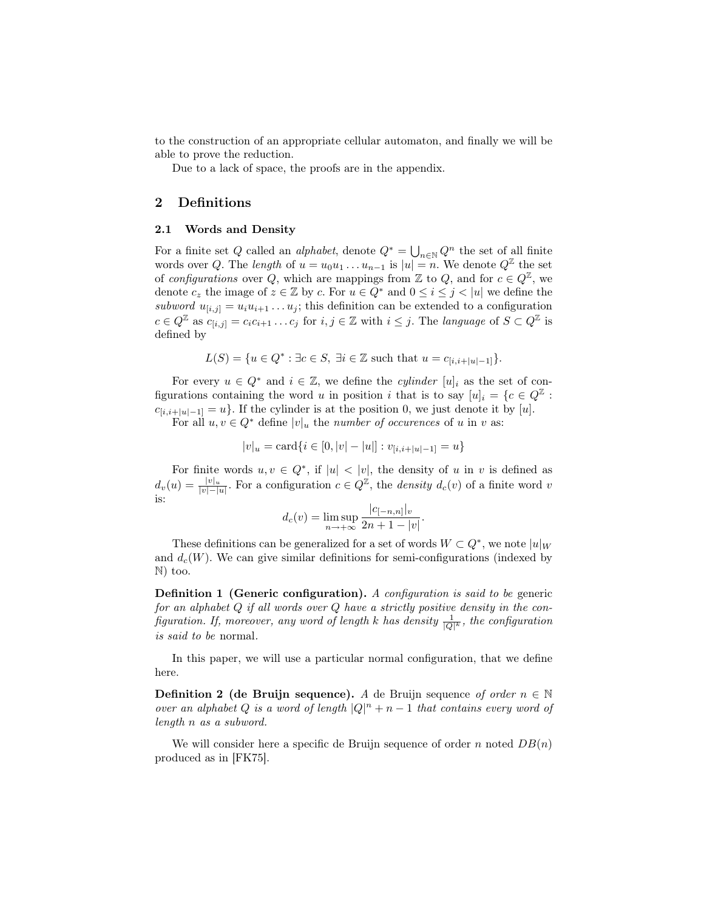to the construction of an appropriate cellular automaton, and finally we will be able to prove the reduction.

Due to a lack of space, the proofs are in the appendix.

# 2 Definitions

#### 2.1 Words and Density

For a finite set Q called an *alphabet*, denote  $Q^* = \bigcup_{n \in \mathbb{N}} Q^n$  the set of all finite words over Q. The length of  $u = u_0u_1 \ldots u_{n-1}$  is  $|u| = n$ . We denote  $Q^{\mathbb{Z}}$  the set of configurations over Q, which are mappings from  $\mathbb Z$  to Q, and for  $c \in Q^{\mathbb Z}$ , we denote  $c_z$  the image of  $z \in \mathbb{Z}$  by c. For  $u \in Q^*$  and  $0 \leq i \leq j < |u|$  we define the subword  $u_{[i,j]} = u_i u_{i+1} \dots u_j$ ; this definition can be extended to a configuration  $c \in Q^{\mathbb{Z}}$  as  $c_{[i,j]} = c_i c_{i+1} \ldots c_j$  for  $i, j \in \mathbb{Z}$  with  $i \leq j$ . The language of  $S \subset Q^{\mathbb{Z}}$  is defined by

$$
L(S) = \{ u \in Q^* : \exists c \in S, \exists i \in \mathbb{Z} \text{ such that } u = c_{[i,i+|u|-1]}\}.
$$

For every  $u \in Q^*$  and  $i \in \mathbb{Z}$ , we define the *cylinder*  $[u]_i$  as the set of configurations containing the word u in position i that is to say  $[u]_i = \{c \in Q^{\mathbb{Z}}:$  $c_{[i,i+|u|-1]} = u$ . If the cylinder is at the position 0, we just denote it by [u].

For all  $u, v \in Q^*$  define  $|v|_u$  the *number of occurences* of u in v as:

$$
|v|_u = \text{card}\{i \in [0, |v| - |u|] : v_{[i,i+|u|-1]} = u\}
$$

For finite words  $u, v \in Q^*$ , if  $|u| < |v|$ , the density of u in v is defined as  $d_v(u) = \frac{|v|_u}{|v| - |u|}$ . For a configuration  $c \in Q^{\mathbb{Z}}$ , the *density*  $d_c(v)$  of a finite word v is:

$$
d_c(v) = \limsup_{n \to +\infty} \frac{|c_{[-n,n]}|_v}{2n+1-|v|}.
$$

These definitions can be generalized for a set of words  $W \subset Q^*$ , we note  $|u|_W$ and  $d_c(W)$ . We can give similar definitions for semi-configurations (indexed by N) too.

Definition 1 (Generic configuration). A configuration is said to be generic for an alphabet  $Q$  if all words over  $Q$  have a strictly positive density in the configuration. If, moreover, any word of length k has density  $\frac{1}{|Q|^k}$ , the configuration is said to be normal.

In this paper, we will use a particular normal configuration, that we define here.

**Definition 2 (de Bruijn sequence).** A de Bruijn sequence of order  $n \in \mathbb{N}$ over an alphabet Q is a word of length  $|Q|^n + n - 1$  that contains every word of length n as a subword.

We will consider here a specific de Bruijn sequence of order n noted  $DB(n)$ produced as in [FK75].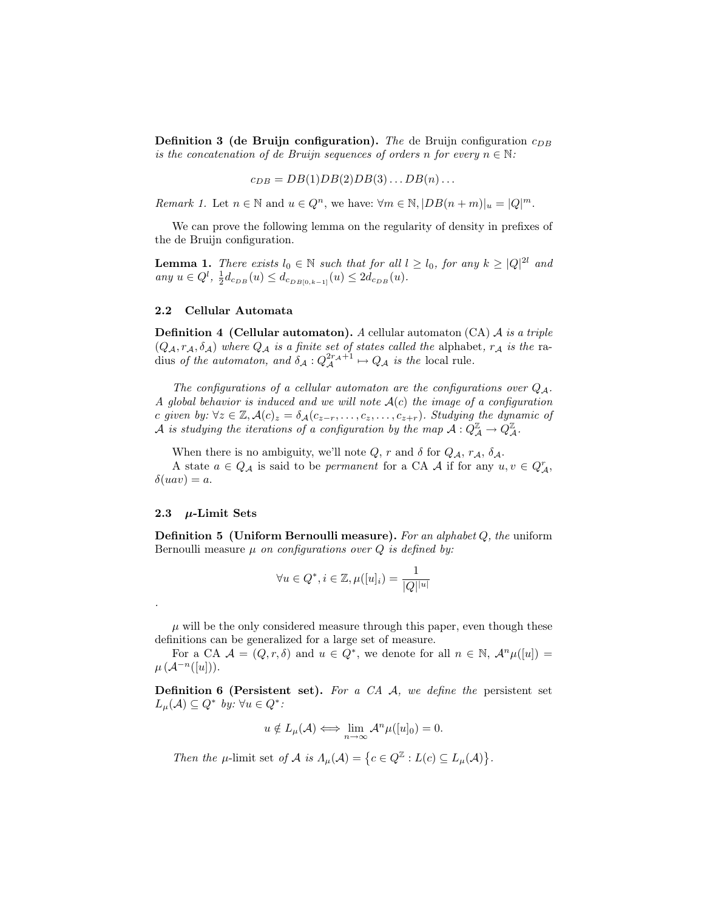**Definition 3 (de Bruijn configuration).** The de Bruijn configuration  $c_{DB}$ is the concatenation of de Bruijn sequences of orders n for every  $n \in \mathbb{N}$ :

$$
c_{DB} = DB(1)DB(2)DB(3) \dots DB(n) \dots
$$

Remark 1. Let  $n \in \mathbb{N}$  and  $u \in Q^n$ , we have:  $\forall m \in \mathbb{N}, |DB(n+m)|_u = |Q|^m$ .

We can prove the following lemma on the regularity of density in prefixes of the de Bruijn configuration.

**Lemma 1.** There exists  $l_0 \in \mathbb{N}$  such that for all  $l \geq l_0$ , for any  $k \geq |Q|^{2l}$  and any  $u \in Q^l$ ,  $\frac{1}{2}d_{c_{DB}}(u) \leq d_{c_{DB}[0,k-1]}(u) \leq 2d_{c_{DB}}(u)$ .

## 2.2 Cellular Automata

**Definition 4 (Cellular automaton).** A cellular automaton (CA)  $\mathcal{A}$  is a triple  $(Q_{\mathcal{A}}, r_{\mathcal{A}}, \delta_{\mathcal{A}})$  where  $Q_{\mathcal{A}}$  is a finite set of states called the alphabet,  $r_{\mathcal{A}}$  is the radius of the automaton, and  $\delta_{\mathcal{A}}: Q_{\mathcal{A}}^{2r_{\mathcal{A}}+1} \mapsto Q_{\mathcal{A}}$  is the local rule.

The configurations of a cellular automaton are the configurations over  $Q_A$ . A global behavior is induced and we will note  $A(c)$  the image of a configuration c given by:  $\forall z \in \mathbb{Z}, \mathcal{A}(c)_z = \delta_{\mathcal{A}}(c_{z-r}, \ldots, c_z, \ldots, c_{z+r}).$  Studying the dynamic of  $\mathcal A$  is studying the iterations of a configuration by the map  $\mathcal A: Q_{\mathcal A}^{\mathbb Z}\to Q_{\mathcal A}^{\mathbb Z}.$ 

When there is no ambiguity, we'll note  $Q$ ,  $r$  and  $\delta$  for  $Q_{\mathcal{A}}$ ,  $r_{\mathcal{A}}$ ,  $\delta_{\mathcal{A}}$ .

A state  $a \in Q_{\mathcal{A}}$  is said to be *permanent* for a CA  $\mathcal{A}$  if for any  $u, v \in Q_{\mathcal{A}}^r$ ,  $\delta(uav) = a.$ 

#### 2.3  $\mu$ -Limit Sets

.

**Definition 5 (Uniform Bernoulli measure).** For an alphabet  $Q$ , the uniform Bernoulli measure  $\mu$  on configurations over  $Q$  is defined by:

$$
\forall u \in Q^*, i \in \mathbb{Z}, \mu([u]_i) = \frac{1}{|Q|^{|u|}}
$$

 $\mu$  will be the only considered measure through this paper, even though these definitions can be generalized for a large set of measure.

For a CA  $\mathcal{A} = (Q, r, \delta)$  and  $u \in Q^*$ , we denote for all  $n \in \mathbb{N}$ ,  $\mathcal{A}^n\mu([u]) =$  $\mu(\mathcal{A}^{-n}([u])).$ 

**Definition 6 (Persistent set).** For a CA  $\mathcal{A}$ , we define the persistent set  $L_{\mu}(\mathcal{A}) \subseteq Q^*$  by:  $\forall u \in Q^*$ :

$$
u \notin L_{\mu}(\mathcal{A}) \Longleftrightarrow \lim_{n \to \infty} \mathcal{A}^n \mu([u]_0) = 0.
$$

Then the  $\mu$ -limit set of  $\mathcal A$  is  $\Lambda_\mu(\mathcal A)=\big\{c\in Q^\mathbb Z:L(c)\subseteq L_\mu(\mathcal A)\big\}.$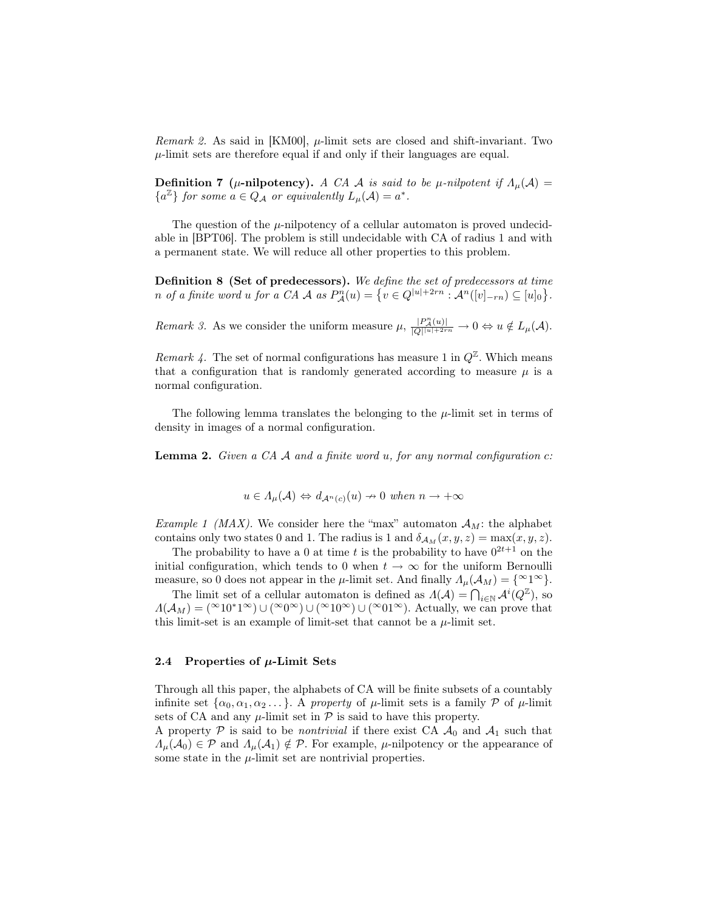*Remark 2.* As said in [KM00],  $\mu$ -limit sets are closed and shift-invariant. Two  $\mu$ -limit sets are therefore equal if and only if their languages are equal.

**Definition 7** ( $\mu$ -nilpotency). A CA A is said to be  $\mu$ -nilpotent if  $\Lambda_{\mu}(\mathcal{A}) =$  ${a<sup>\mathbb{Z}}</sup>$  for some  $a \in Q_{\mathcal{A}}$  or equivalently  $L_{\mu}(\mathcal{A}) = a^*$ .

The question of the  $\mu$ -nilpotency of a cellular automaton is proved undecidable in [BPT06]. The problem is still undecidable with CA of radius 1 and with a permanent state. We will reduce all other properties to this problem.

Definition 8 (Set of predecessors). We define the set of predecessors at time n of a finite word u for a CA A as  $P_{\mathcal{A}}^n(u) = \{ v \in Q^{|u|+2rn} : \mathcal{A}^n([v]_{-rn}) \subseteq [u]_0 \}.$ 

Remark 3. As we consider the uniform measure  $\mu$ ,  $\frac{|P_A^n(u)|}{|Q| |u| + 2rn} \to 0 \Leftrightarrow u \notin L_{\mu}(\mathcal{A})$ .

Remark 4. The set of normal configurations has measure 1 in  $Q^{\mathbb{Z}}$ . Which means that a configuration that is randomly generated according to measure  $\mu$  is a normal configuration.

The following lemma translates the belonging to the  $\mu$ -limit set in terms of density in images of a normal configuration.

**Lemma 2.** Given a CA  $\mathcal A$  and a finite word u, for any normal configuration c:

$$
u\in \varLambda_{\mu}(\mathcal{A})\Leftrightarrow d_{\mathcal{A}^n(c)}(u)\nrightarrow 0\ when\ n\rightarrow +\infty
$$

Example 1 (MAX). We consider here the "max" automaton  $A_M$ : the alphabet contains only two states 0 and 1. The radius is 1 and  $\delta_{\mathcal{A}_M}(x, y, z) = \max(x, y, z)$ .

The probability to have a 0 at time t is the probability to have  $0^{2t+1}$  on the initial configuration, which tends to 0 when  $t \to \infty$  for the uniform Bernoulli measure, so 0 does not appear in the  $\mu$ -limit set. And finally  $\Lambda_{\mu}(\mathcal{A}_M) = \{^{\infty}1^{\infty}\}.$ 

The limit set of a cellular automaton is defined as  $\Lambda(\mathcal{A}) = \bigcap_{i \in \mathbb{N}} \mathcal{A}^i(Q^{\mathbb{Z}})$ , so  $\Lambda(A_M) = (\infty 10^*1^{\infty}) \cup (\infty 0^{\infty}) \cup (\infty 10^{\infty}) \cup (\infty 01^{\infty})$ . Actually, we can prove that this limit-set is an example of limit-set that cannot be a  $\mu$ -limit set.

## 2.4 Properties of  $\mu$ -Limit Sets

Through all this paper, the alphabets of CA will be finite subsets of a countably infinite set  $\{\alpha_0, \alpha_1, \alpha_2 \dots\}$ . A property of  $\mu$ -limit sets is a family  $\mathcal P$  of  $\mu$ -limit sets of CA and any  $\mu$ -limit set in  $\mathcal P$  is said to have this property.

A property P is said to be *nontrivial* if there exist CA  $\mathcal{A}_0$  and  $\mathcal{A}_1$  such that  $\Lambda_{\mu}(\mathcal{A}_0) \in \mathcal{P}$  and  $\Lambda_{\mu}(\mathcal{A}_1) \notin \mathcal{P}$ . For example,  $\mu$ -nilpotency or the appearance of some state in the  $\mu$ -limit set are nontrivial properties.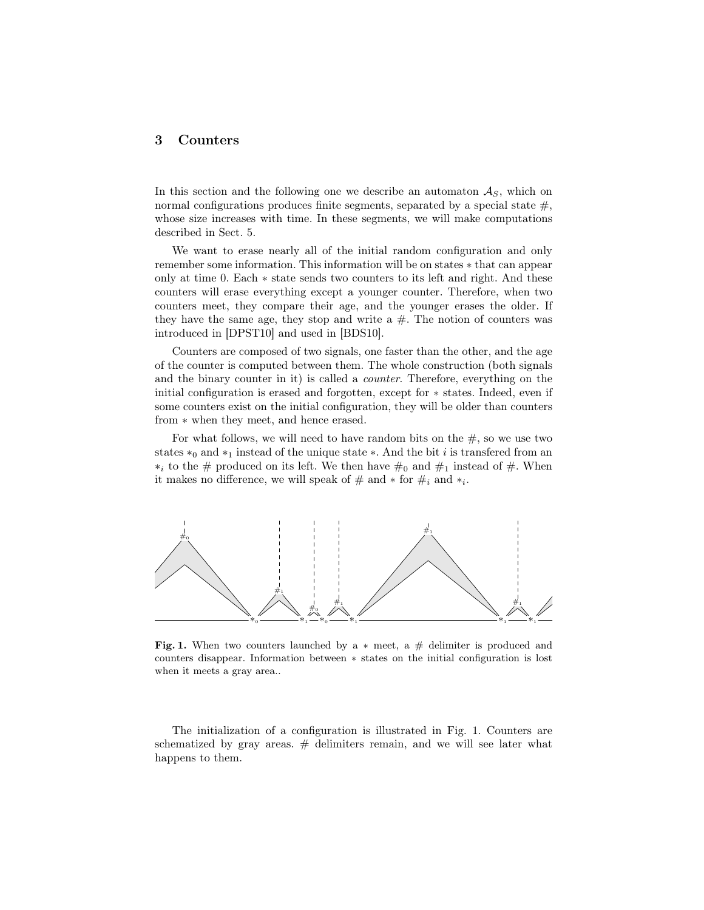# 3 Counters

In this section and the following one we describe an automaton  $A<sub>S</sub>$ , which on normal configurations produces finite segments, separated by a special state  $\#$ , whose size increases with time. In these segments, we will make computations described in Sect. 5.

We want to erase nearly all of the initial random configuration and only remember some information. This information will be on states ∗ that can appear only at time 0. Each ∗ state sends two counters to its left and right. And these counters will erase everything except a younger counter. Therefore, when two counters meet, they compare their age, and the younger erases the older. If they have the same age, they stop and write a  $#$ . The notion of counters was introduced in [DPST10] and used in [BDS10].

Counters are composed of two signals, one faster than the other, and the age of the counter is computed between them. The whole construction (both signals and the binary counter in it) is called a counter. Therefore, everything on the initial configuration is erased and forgotten, except for ∗ states. Indeed, even if some counters exist on the initial configuration, they will be older than counters from ∗ when they meet, and hence erased.

For what follows, we will need to have random bits on the  $#$ , so we use two states  $*_0$  and  $*_1$  instead of the unique state  $*$ . And the bit i is transfered from an  $*_i$  to the  $#$  produced on its left. We then have  $#_0$  and  $#_1$  instead of  $#$ . When it makes no difference, we will speak of  $\#$  and  $*$  for  $\#_i$  and  $*_i$ .



Fig. 1. When two counters launched by a  $*$  meet, a  $\#$  delimiter is produced and counters disappear. Information between ∗ states on the initial configuration is lost when it meets a gray area..

The initialization of a configuration is illustrated in Fig. 1. Counters are schematized by gray areas.  $#$  delimiters remain, and we will see later what happens to them.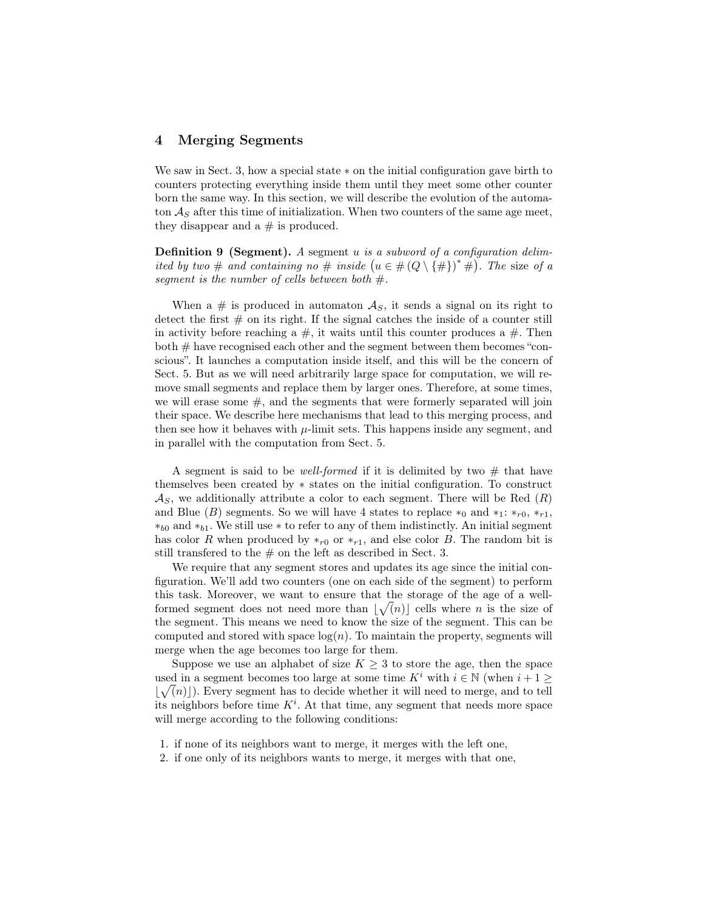## 4 Merging Segments

We saw in Sect. 3, how a special state ∗ on the initial configuration gave birth to counters protecting everything inside them until they meet some other counter born the same way. In this section, we will describe the evolution of the automaton  $\mathcal{A}_S$  after this time of initialization. When two counters of the same age meet, they disappear and a  $#$  is produced.

**Definition 9 (Segment).** A segment  $u$  is a subword of a configuration delimited by two # and containing no # inside  $(u \in \#(Q \setminus \{ \# \})^* \#)$ . The size of a segment is the number of cells between both  $#$ .

When a # is produced in automaton  $\mathcal{A}_S$ , it sends a signal on its right to detect the first  $#$  on its right. If the signal catches the inside of a counter still in activity before reaching a  $\#$ , it waits until this counter produces a  $\#$ . Then both  $\#$  have recognised each other and the segment between them becomes "conscious". It launches a computation inside itself, and this will be the concern of Sect. 5. But as we will need arbitrarily large space for computation, we will remove small segments and replace them by larger ones. Therefore, at some times, we will erase some  $\#$ , and the segments that were formerly separated will join their space. We describe here mechanisms that lead to this merging process, and then see how it behaves with  $\mu$ -limit sets. This happens inside any segment, and in parallel with the computation from Sect. 5.

A segment is said to be *well-formed* if it is delimited by two  $#$  that have themselves been created by ∗ states on the initial configuration. To construct  $\mathcal{A}_S$ , we additionally attribute a color to each segment. There will be Red  $(R)$ and Blue (B) segments. So we will have 4 states to replace  $*_0$  and  $*_1: *_{r0}, *_{r1}$ ,  $*_{b0}$  and  $*_{b1}$ . We still use  $*$  to refer to any of them indistinctly. An initial segment has color R when produced by  $*_{r0}$  or  $*_{r1}$ , and else color B. The random bit is still transferred to the  $#$  on the left as described in Sect. 3.

We require that any segment stores and updates its age since the initial configuration. We'll add two counters (one on each side of the segment) to perform this task. Moreover, we want to ensure that the storage of the age of a wellformed segment does not need more than  $\lfloor \sqrt{n} \rfloor$  cells where n is the size of the segment. This means we need to know the size of the segment. This can be computed and stored with space  $log(n)$ . To maintain the property, segments will merge when the age becomes too large for them.

Suppose we use an alphabet of size  $K \geq 3$  to store the age, then the space used in a segment becomes too large at some time  $K^i$  with  $i \in \mathbb{N}$  (when  $i+1$ )  $\lfloor \sqrt{n} \rfloor$ ). Every segment has to decide whether it will need to merge, and to tell its neighbors before time  $K^i$ . At that time, any segment that needs more space will merge according to the following conditions:

- 1. if none of its neighbors want to merge, it merges with the left one,
- 2. if one only of its neighbors wants to merge, it merges with that one,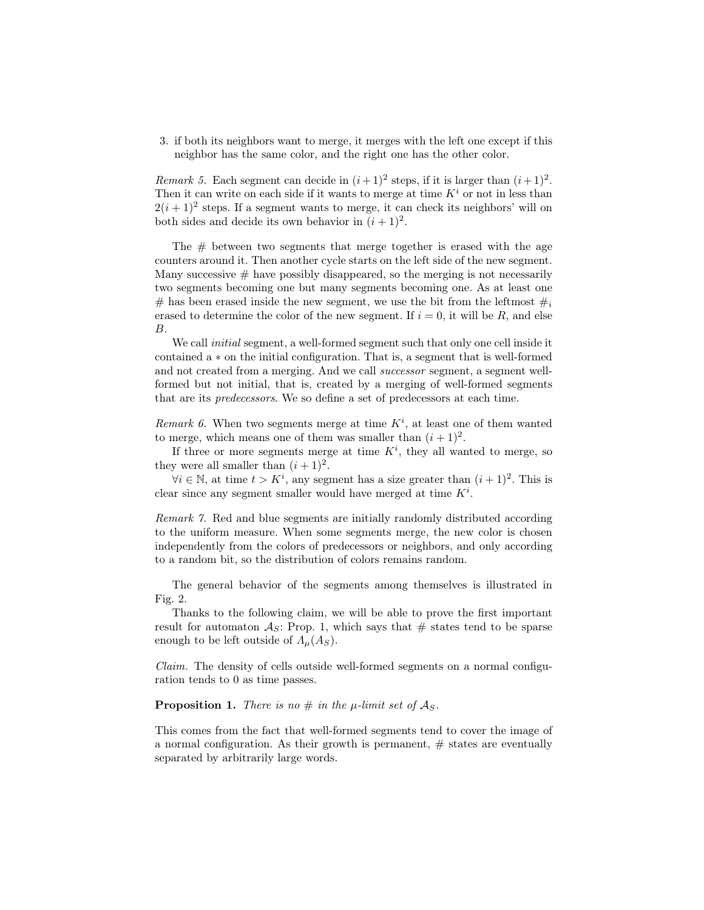3. if both its neighbors want to merge, it merges with the left one except if this neighbor has the same color, and the right one has the other color.

Remark 5. Each segment can decide in  $(i+1)^2$  steps, if it is larger than  $(i+1)^2$ . Then it can write on each side if it wants to merge at time  $K^i$  or not in less than  $2(i+1)^2$  steps. If a segment wants to merge, it can check its neighbors' will on both sides and decide its own behavior in  $(i + 1)^2$ .

The  $#$  between two segments that merge together is erased with the age counters around it. Then another cycle starts on the left side of the new segment. Many successive  $#$  have possibly disappeared, so the merging is not necessarily two segments becoming one but many segments becoming one. As at least one # has been erased inside the new segment, we use the bit from the leftmost  $\#_i$ erased to determine the color of the new segment. If  $i = 0$ , it will be R, and else B.

We call *initial* segment, a well-formed segment such that only one cell inside it contained a ∗ on the initial configuration. That is, a segment that is well-formed and not created from a merging. And we call successor segment, a segment wellformed but not initial, that is, created by a merging of well-formed segments that are its predecessors. We so define a set of predecessors at each time.

Remark 6. When two segments merge at time  $K^i$ , at least one of them wanted to merge, which means one of them was smaller than  $(i + 1)^2$ .

If three or more segments merge at time  $K^i$ , they all wanted to merge, so they were all smaller than  $(i + 1)^2$ .

 $\forall i \in \mathbb{N}$ , at time  $t > K^i$ , any segment has a size greater than  $(i + 1)^2$ . This is clear since any segment smaller would have merged at time  $K^i$ .

Remark 7. Red and blue segments are initially randomly distributed according to the uniform measure. When some segments merge, the new color is chosen independently from the colors of predecessors or neighbors, and only according to a random bit, so the distribution of colors remains random.

The general behavior of the segments among themselves is illustrated in Fig. 2.

Thanks to the following claim, we will be able to prove the first important result for automaton  $A_s$ : Prop. 1, which says that  $\#$  states tend to be sparse enough to be left outside of  $\Lambda_u(A_S)$ .

Claim. The density of cells outside well-formed segments on a normal configuration tends to 0 as time passes.

#### **Proposition 1.** There is no  $\#$  in the  $\mu$ -limit set of  $\mathcal{A}_S$ .

This comes from the fact that well-formed segments tend to cover the image of a normal configuration. As their growth is permanent,  $\#$  states are eventually separated by arbitrarily large words.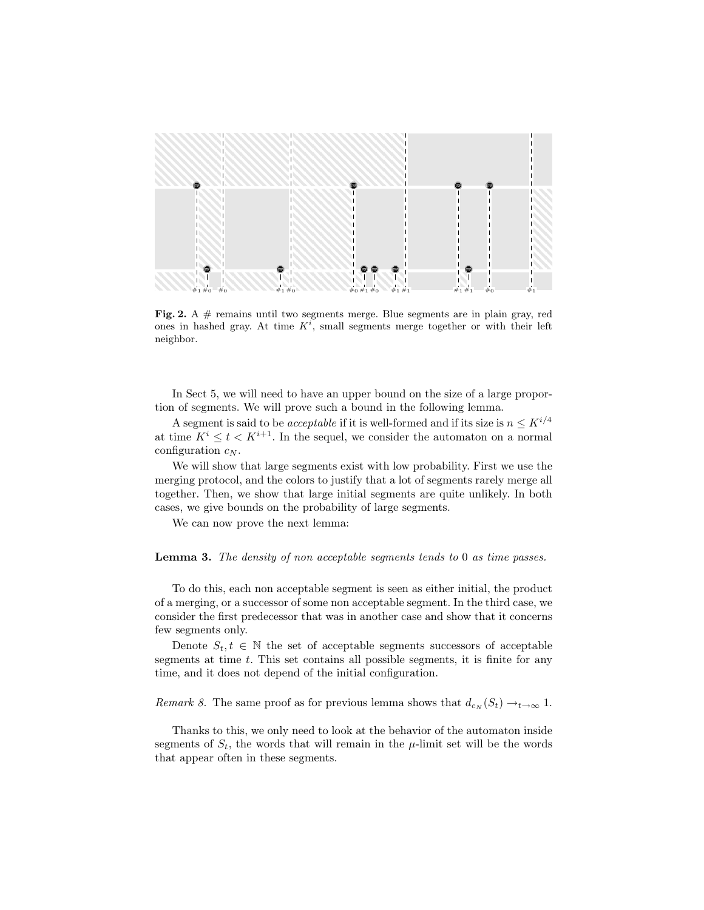

Fig. 2. A  $#$  remains until two segments merge. Blue segments are in plain gray, red ones in hashed gray. At time  $K^i$ , small segments merge together or with their left neighbor.

In Sect 5, we will need to have an upper bound on the size of a large proportion of segments. We will prove such a bound in the following lemma.

A segment is said to be *acceptable* if it is well-formed and if its size is  $n \leq K^{i/4}$ at time  $K^i \leq t < K^{i+1}$ . In the sequel, we consider the automaton on a normal configuration  $c_N$ .

We will show that large segments exist with low probability. First we use the merging protocol, and the colors to justify that a lot of segments rarely merge all together. Then, we show that large initial segments are quite unlikely. In both cases, we give bounds on the probability of large segments.

We can now prove the next lemma:

Lemma 3. The density of non acceptable segments tends to 0 as time passes.

To do this, each non acceptable segment is seen as either initial, the product of a merging, or a successor of some non acceptable segment. In the third case, we consider the first predecessor that was in another case and show that it concerns few segments only.

Denote  $S_t, t \in \mathbb{N}$  the set of acceptable segments successors of acceptable segments at time t. This set contains all possible segments, it is finite for any time, and it does not depend of the initial configuration.

Remark 8. The same proof as for previous lemma shows that  $d_{c_N}(S_t) \to_{t \to \infty} 1$ .

Thanks to this, we only need to look at the behavior of the automaton inside segments of  $S_t$ , the words that will remain in the  $\mu$ -limit set will be the words that appear often in these segments.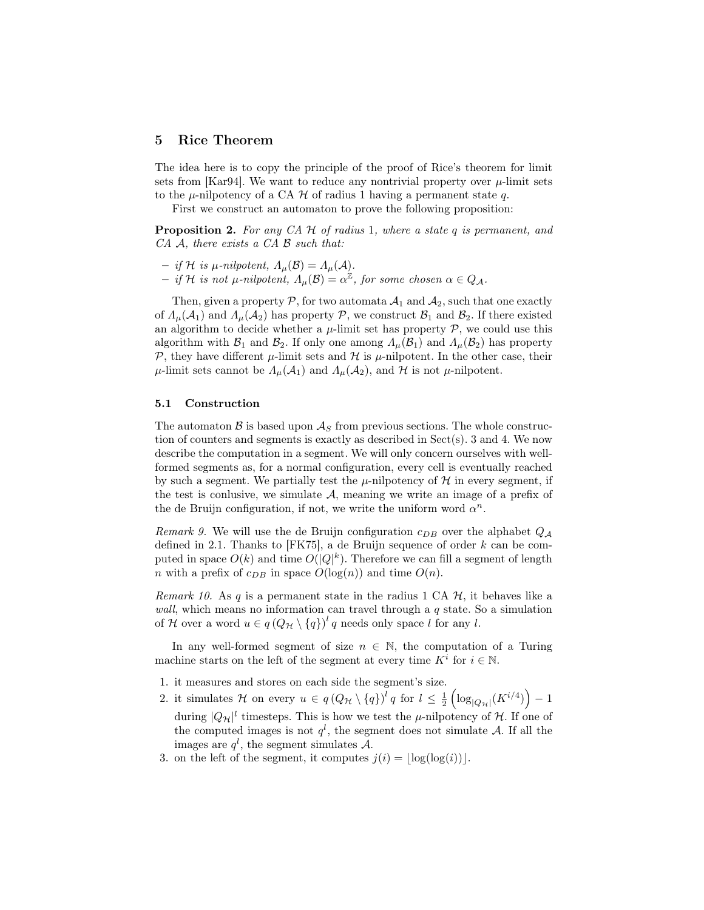## 5 Rice Theorem

The idea here is to copy the principle of the proof of Rice's theorem for limit sets from [Kar94]. We want to reduce any nontrivial property over  $\mu$ -limit sets to the  $\mu$ -nilpotency of a CA  $\mathcal H$  of radius 1 having a permanent state  $q$ .

First we construct an automaton to prove the following proposition:

**Proposition 2.** For any CA  $H$  of radius 1, where a state q is permanent, and  $CA \mathcal{A}$ , there exists a  $CA \mathcal{B}$  such that:

- $-$  if H is  $\mu$ -nilpotent,  $\Lambda_{\mu}(\mathcal{B}) = \Lambda_{\mu}(\mathcal{A})$ .
- $-$  if H is not  $\mu$ -nilpotent,  $\Lambda_{\mu}(\mathcal{B}) = \alpha^{\mathbb{Z}}$ , for some chosen  $\alpha \in Q_{\mathcal{A}}$ .

Then, given a property  $P$ , for two automata  $A_1$  and  $A_2$ , such that one exactly of  $\Lambda_{\mu}(\mathcal{A}_1)$  and  $\Lambda_{\mu}(\mathcal{A}_2)$  has property  $\mathcal{P}$ , we construct  $\mathcal{B}_1$  and  $\mathcal{B}_2$ . If there existed an algorithm to decide whether a  $\mu$ -limit set has property  $\mathcal{P}$ , we could use this algorithm with  $\mathcal{B}_1$  and  $\mathcal{B}_2$ . If only one among  $\Lambda_\mu(\mathcal{B}_1)$  and  $\Lambda_\mu(\mathcal{B}_2)$  has property P, they have different  $\mu$ -limit sets and H is  $\mu$ -nilpotent. In the other case, their  $\mu$ -limit sets cannot be  $\Lambda_{\mu}(\mathcal{A}_1)$  and  $\Lambda_{\mu}(\mathcal{A}_2)$ , and  $\mathcal{H}$  is not  $\mu$ -nilpotent.

#### 5.1 Construction

The automaton  $\beta$  is based upon  $\mathcal{A}_S$  from previous sections. The whole construction of counters and segments is exactly as described in  $Sect(s)$ . 3 and 4. We now describe the computation in a segment. We will only concern ourselves with wellformed segments as, for a normal configuration, every cell is eventually reached by such a segment. We partially test the  $\mu$ -nilpotency of  $\mathcal H$  in every segment, if the test is conlusive, we simulate  $A$ , meaning we write an image of a prefix of the de Bruijn configuration, if not, we write the uniform word  $\alpha^n$ .

Remark 9. We will use the de Bruijn configuration  $c_{DB}$  over the alphabet  $Q_A$ defined in 2.1. Thanks to [FK75], a de Bruijn sequence of order  $k$  can be computed in space  $O(k)$  and time  $O(|Q|^k)$ . Therefore we can fill a segment of length *n* with a prefix of  $c_{DB}$  in space  $O(log(n))$  and time  $O(n)$ .

Remark 10. As q is a permanent state in the radius 1 CA  $H$ , it behaves like a wall, which means no information can travel through a  $q$  state. So a simulation of H over a word  $u \in q(Q_{\mathcal{H}} \setminus \{q\})^l q$  needs only space l for any l.

In any well-formed segment of size  $n \in \mathbb{N}$ , the computation of a Turing machine starts on the left of the segment at every time  $K^i$  for  $i \in \mathbb{N}$ .

- 1. it measures and stores on each side the segment's size.
- 2. it simulates H on every  $u \in q(Q_{\mathcal{H}} \setminus \{q\})^l q$  for  $l \leq \frac{1}{2} \left( \log_{|Q_{\mathcal{H}}|}(K^{i/4}) \right) 1$ during  $|Q_{\mathcal{H}}|^l$  timesteps. This is how we test the  $\mu$ -nilpotency of  $\mathcal{H}$ . If one of the computed images is not  $q^l$ , the segment does not simulate A. If all the images are  $q^l$ , the segment simulates A.
- 3. on the left of the segment, it computes  $j(i) = |\log(\log(i))|$ .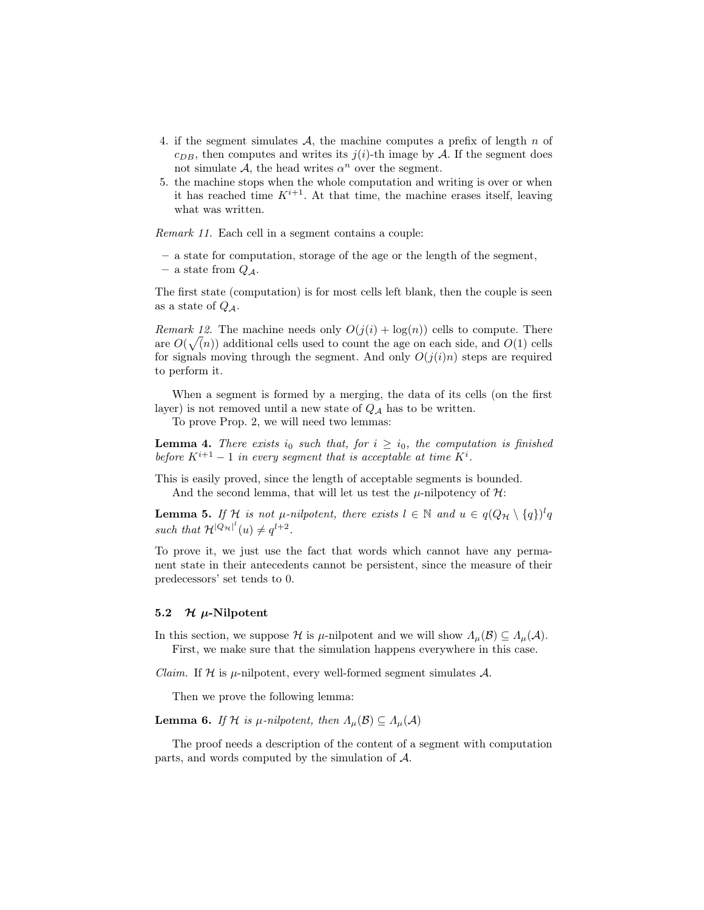- 4. if the segment simulates A, the machine computes a prefix of length n of  $c_{DB}$ , then computes and writes its  $j(i)$ -th image by A. If the segment does not simulate  $A$ , the head writes  $\alpha^n$  over the segment.
- 5. the machine stops when the whole computation and writing is over or when it has reached time  $K^{i+1}$ . At that time, the machine erases itself, leaving what was written.

Remark 11. Each cell in a segment contains a couple:

- a state for computation, storage of the age or the length of the segment,
- a state from  $Q_{\mathcal{A}}$ .

The first state (computation) is for most cells left blank, then the couple is seen as a state of  $Q_4$ .

Remark 12. The machine needs only  $O(j(i) + \log(n))$  cells to compute. There are  $O(\sqrt(n))$  additional cells used to count the age on each side, and  $O(1)$  cells for signals moving through the segment. And only  $O(j(i)n)$  steps are required to perform it.

When a segment is formed by a merging, the data of its cells (on the first layer) is not removed until a new state of  $Q_A$  has to be written.

To prove Prop. 2, we will need two lemmas:

**Lemma 4.** There exists  $i_0$  such that, for  $i \geq i_0$ , the computation is finished before  $K^{i+1} - 1$  in every segment that is acceptable at time  $K^i$ .

This is easily proved, since the length of acceptable segments is bounded. And the second lemma, that will let us test the  $\mu$ -nilpotency of  $\mathcal{H}$ :

**Lemma 5.** If  $\mathcal{H}$  is not  $\mu$ -nilpotent, there exists  $l \in \mathbb{N}$  and  $u \in q(Q_{\mathcal{H}} \setminus \{q\})^l q$ such that  $\mathcal{H}^{[Q_H]^l}(u) \neq q^{l+2}$ .

To prove it, we just use the fact that words which cannot have any permanent state in their antecedents cannot be persistent, since the measure of their predecessors' set tends to 0.

#### 5.2  $\mathcal H$   $\mu$ -Nilpotent

In this section, we suppose H is  $\mu$ -nilpotent and we will show  $\Lambda_{\mu}(\mathcal{B}) \subseteq \Lambda_{\mu}(\mathcal{A})$ . First, we make sure that the simulation happens everywhere in this case.

*Claim.* If  $H$  is  $\mu$ -nilpotent, every well-formed segment simulates A.

Then we prove the following lemma:

**Lemma 6.** If H is  $\mu$ -nilpotent, then  $\Lambda_{\mu}(\mathcal{B}) \subseteq \Lambda_{\mu}(\mathcal{A})$ 

The proof needs a description of the content of a segment with computation parts, and words computed by the simulation of A.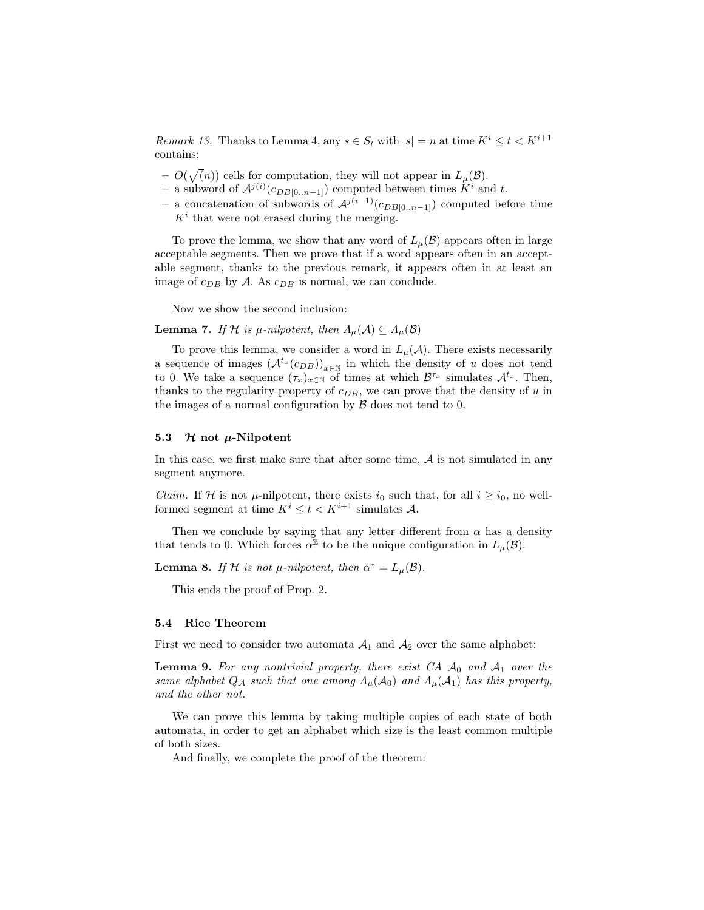*Remark 13.* Thanks to Lemma 4, any  $s \in S_t$  with  $|s| = n$  at time  $K^i \le t < K^{i+1}$ contains:

- $O(\sqrt(n))$  cells for computation, they will not appear in  $L_{\mu}(\mathcal{B})$ .
- − a subword of  $\mathcal{A}^{j(i)}(c_{DB[0..n-1]})$  computed between times  $K^i$  and t.
- a concatenation of subwords of  $\mathcal{A}^{j(i-1)}(c_{DB[0..n-1]})$  computed before time  $K<sup>i</sup>$  that were not erased during the merging.

To prove the lemma, we show that any word of  $L_u(\mathcal{B})$  appears often in large acceptable segments. Then we prove that if a word appears often in an acceptable segment, thanks to the previous remark, it appears often in at least an image of  $c_{DB}$  by A. As  $c_{DB}$  is normal, we can conclude.

Now we show the second inclusion:

**Lemma 7.** If H is  $\mu$ -nilpotent, then  $\Lambda_{\mu}(\mathcal{A}) \subseteq \Lambda_{\mu}(\mathcal{B})$ 

To prove this lemma, we consider a word in  $L_{\mu}(\mathcal{A})$ . There exists necessarily a sequence of images  $(A^{t_x}(c_{DB}))_{x\in\mathbb{N}}$  in which the density of u does not tend to 0. We take a sequence  $(\tau_x)_{x \in \mathbb{N}}$  of times at which  $\mathcal{B}^{\tau_x}$  simulates  $\mathcal{A}^{t_x}$ . Then, thanks to the regularity property of  $c_{DB}$ , we can prove that the density of u in the images of a normal configuration by  $\beta$  does not tend to 0.

#### 5.3  $\mathcal H$  not  $\mu$ -Nilpotent

In this case, we first make sure that after some time,  $A$  is not simulated in any segment anymore.

*Claim.* If H is not  $\mu$ -nilpotent, there exists  $i_0$  such that, for all  $i \geq i_0$ , no wellformed segment at time  $K^i \leq t < K^{i+1}$  simulates A.

Then we conclude by saying that any letter different from  $\alpha$  has a density that tends to 0. Which forces  $\alpha^{\mathbb{Z}}$  to be the unique configuration in  $L_{\mu}(\mathcal{B})$ .

**Lemma 8.** If H is not  $\mu$ -nilpotent, then  $\alpha^* = L_{\mu}(\mathcal{B})$ .

This ends the proof of Prop. 2.

#### 5.4 Rice Theorem

First we need to consider two automata  $A_1$  and  $A_2$  over the same alphabet:

**Lemma 9.** For any nontrivial property, there exist CA  $\mathcal{A}_0$  and  $\mathcal{A}_1$  over the same alphabet  $Q_A$  such that one among  $\Lambda_\mu(\mathcal{A}_0)$  and  $\Lambda_\mu(\mathcal{A}_1)$  has this property, and the other not.

We can prove this lemma by taking multiple copies of each state of both automata, in order to get an alphabet which size is the least common multiple of both sizes.

And finally, we complete the proof of the theorem: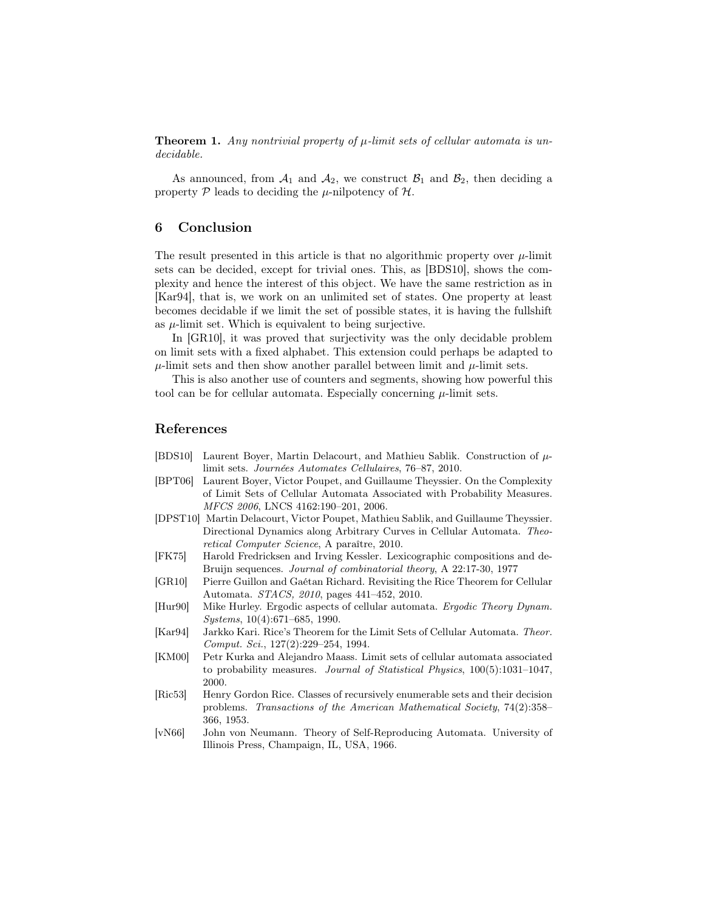**Theorem 1.** Any nontrivial property of  $\mu$ -limit sets of cellular automata is undecidable.

As announced, from  $A_1$  and  $A_2$ , we construct  $B_1$  and  $B_2$ , then deciding a property  $P$  leads to deciding the  $\mu$ -nilpotency of  $H$ .

## 6 Conclusion

The result presented in this article is that no algorithmic property over  $\mu$ -limit sets can be decided, except for trivial ones. This, as [BDS10], shows the complexity and hence the interest of this object. We have the same restriction as in [Kar94], that is, we work on an unlimited set of states. One property at least becomes decidable if we limit the set of possible states, it is having the fullshift as  $\mu$ -limit set. Which is equivalent to being surjective.

In [GR10], it was proved that surjectivity was the only decidable problem on limit sets with a fixed alphabet. This extension could perhaps be adapted to  $\mu$ -limit sets and then show another parallel between limit and  $\mu$ -limit sets.

This is also another use of counters and segments, showing how powerful this tool can be for cellular automata. Especially concerning  $\mu$ -limit sets.

## References

- [BDS10] Laurent Boyer, Martin Delacourt, and Mathieu Sablik. Construction of  $\mu$ limit sets. Journées Automates Cellulaires, 76–87, 2010.
- [BPT06] Laurent Boyer, Victor Poupet, and Guillaume Theyssier. On the Complexity of Limit Sets of Cellular Automata Associated with Probability Measures. MFCS 2006, LNCS 4162:190–201, 2006.
- [DPST10] Martin Delacourt, Victor Poupet, Mathieu Sablik, and Guillaume Theyssier. Directional Dynamics along Arbitrary Curves in Cellular Automata. Theoretical Computer Science, A paraître, 2010.
- [FK75] Harold Fredricksen and Irving Kessler. Lexicographic compositions and de-Bruijn sequences. Journal of combinatorial theory, A 22:17-30, 1977
- [GR10] Pierre Guillon and Gaétan Richard. Revisiting the Rice Theorem for Cellular Automata. STACS, 2010, pages 441–452, 2010.
- [Hur90] Mike Hurley. Ergodic aspects of cellular automata. Ergodic Theory Dynam. Systems, 10(4):671–685, 1990.
- [Kar94] Jarkko Kari. Rice's Theorem for the Limit Sets of Cellular Automata. Theor. Comput. Sci., 127(2):229–254, 1994.
- [KM00] Petr Kurka and Alejandro Maass. Limit sets of cellular automata associated to probability measures. Journal of Statistical Physics, 100(5):1031–1047, 2000.
- [Ric53] Henry Gordon Rice. Classes of recursively enumerable sets and their decision problems. Transactions of the American Mathematical Society, 74(2):358– 366, 1953.
- [vN66] John von Neumann. Theory of Self-Reproducing Automata. University of Illinois Press, Champaign, IL, USA, 1966.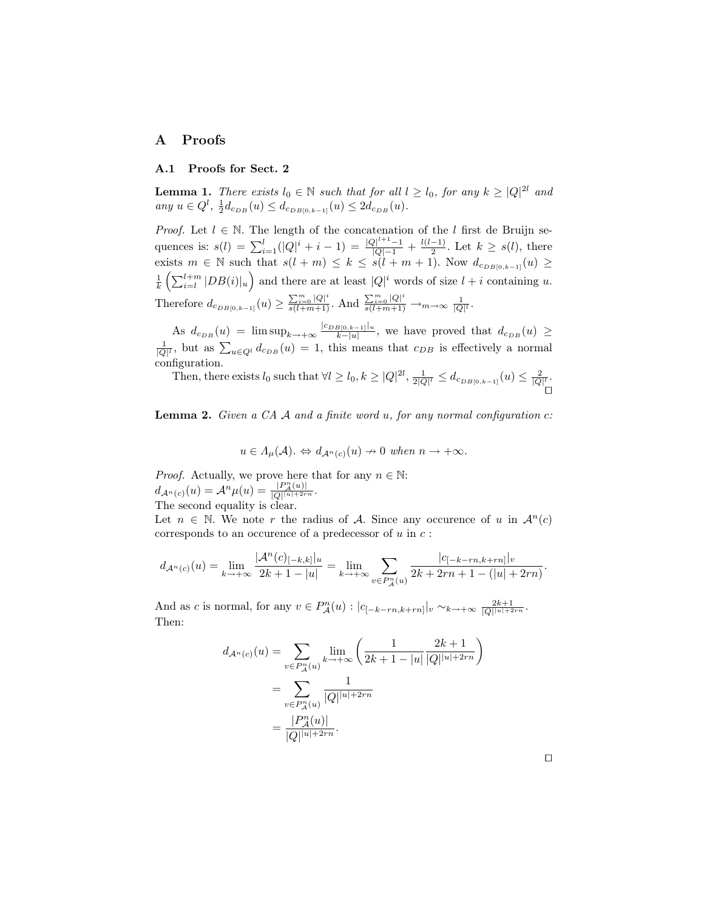# A Proofs

#### A.1 Proofs for Sect. 2

**Lemma 1.** There exists  $l_0 \in \mathbb{N}$  such that for all  $l \geq l_0$ , for any  $k \geq |Q|^{2l}$  and any  $u \in Q^l$ ,  $\frac{1}{2}d_{c_{DB}}(u) \leq d_{c_{DB[0,k-1]}}(u) \leq 2d_{c_{DB}}(u)$ .

*Proof.* Let  $l \in \mathbb{N}$ . The length of the concatenation of the l first de Bruijn sequences is:  $s(l) = \sum_{i=1}^{l} (|Q|^i + i - 1) = \frac{|Q|^{l+1}-1}{|Q|-1} + \frac{l(l-1)}{2}$  $\frac{-1}{2}$ . Let  $k \geq s(l)$ , there exists  $m \in \mathbb{N}$  such that  $s(l+m) \leq k \leq s(l+m+1)$ . Now  $d_{c_{DB[0,k-1]}}(u) \geq$  $\frac{1}{k} \left( \sum_{i=l}^{l+m} |DB(i)|_u \right)$  and there are at least  $|Q|^i$  words of size  $l+i$  containing u. Therefore  $d_{c_{DB[0,k-1]}}(u) \ge \frac{\sum_{i=0}^{m} |Q|^i}{s(l+m+1)}$ . And  $\frac{\sum_{i=0}^{m} |Q|^i}{s(l+m+1)} \to_{m \to \infty} \frac{1}{|Q|^l}$ .

As  $d_{c_{DB}}(u) = \limsup_{k \to +\infty} \frac{|c_{DB[0,k-1]}|_u}{k-|u|}$  $\frac{B[0,k-1]|u}{k-|u|}$ , we have proved that  $d_{c_{DB}}(u) \geq$  $\frac{1}{|Q|^l}$ , but as  $\sum_{u \in Q^l} d_{c_{DB}}(u) = 1$ , this means that  $c_{DB}$  is effectively a normal configuration.

Then, there exists  $l_0$  such that  $\forall l \ge l_0, k \ge |Q|^{2l}, \frac{1}{2|Q|^l} \le d_{c_{DB[0,k-1]}}(u) \le \frac{2}{|Q|^l}.$  $\overline{\phantom{a}}$ 

**Lemma 2.** Given a CA  $\mathcal A$  and a finite word  $u$ , for any normal configuration  $c$ :

$$
u\in \varLambda_{\mu}(\mathcal{A}). \Leftrightarrow d_{\mathcal{A}^{n}(c)}(u)\nrightarrow 0 \textit{ when } n\rightarrow +\infty.
$$

*Proof.* Actually, we prove here that for any  $n \in \mathbb{N}$ :  $d_{\mathcal{A}^n(c)}(u) = \mathcal{A}^n \mu(u) = \frac{|P^n_{\mathcal{A}}(u)|}{|Q| |u| + 2rn}.$ The second equality is clear.

Let  $n \in \mathbb{N}$ . We note r the radius of A. Since any occurence of u in  $\mathcal{A}^n(c)$ corresponds to an occurence of a predecessor of  $u$  in  $c$ :

$$
d_{\mathcal{A}^n(c)}(u) = \lim_{k \to +\infty} \frac{|\mathcal{A}^n(c)|_{-k,k}|_u}{2k+1-|u|} = \lim_{k \to +\infty} \sum_{v \in P_A^n(u)} \frac{|c_{[-k-rn,k+rn]}|_v}{2k+2rn+1-(|u|+2rn)}.
$$

And as c is normal, for any  $v \in P_{\mathcal{A}}^n(u) : |c_{[-k-rn,k+rn]}|_v \sim_{k \to +\infty} \frac{2k+1}{|Q||u|+2rn}$ . Then:

$$
d_{\mathcal{A}^n(c)}(u) = \sum_{v \in P_A^n(u)} \lim_{k \to +\infty} \left( \frac{1}{2k+1-|u|} \frac{2k+1}{|Q|^{|u|+2rn}} \right)
$$
  
= 
$$
\sum_{v \in P_A^n(u)} \frac{1}{|Q|^{|u|+2rn}}
$$
  
= 
$$
\frac{|P_A^n(u)|}{|Q|^{|u|+2rn}}.
$$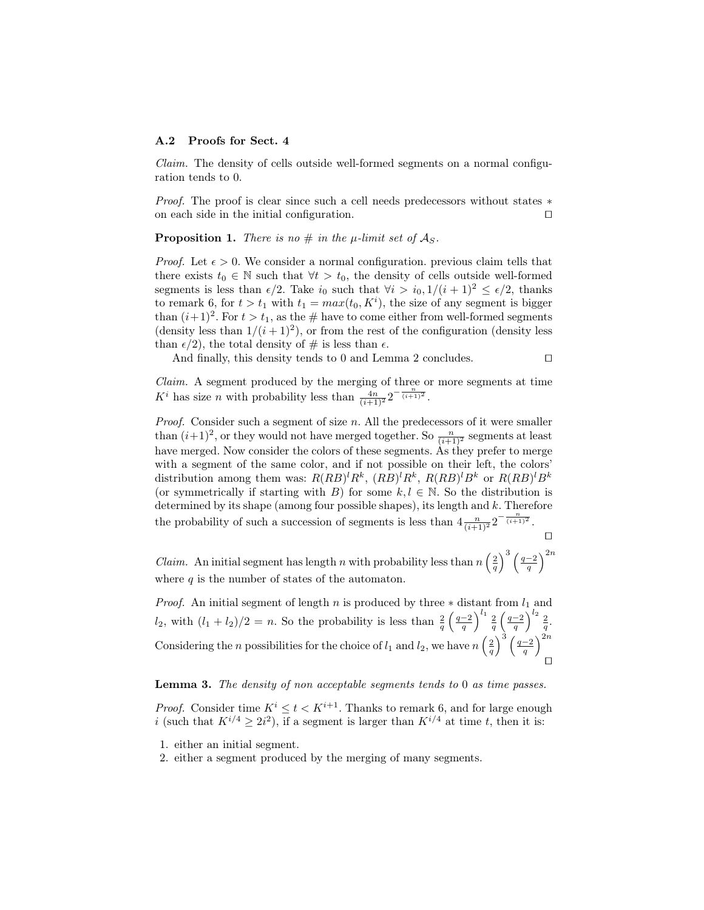#### A.2 Proofs for Sect. 4

Claim. The density of cells outside well-formed segments on a normal configuration tends to 0.

*Proof.* The proof is clear since such a cell needs predecessors without states  $*$  on each side in the initial configuration. on each side in the initial configuration.

**Proposition 1.** There is no  $\#$  in the  $\mu$ -limit set of  $\mathcal{A}_S$ .

*Proof.* Let  $\epsilon > 0$ . We consider a normal configuration. previous claim tells that there exists  $t_0 \in \mathbb{N}$  such that  $\forall t > t_0$ , the density of cells outside well-formed segments is less than  $\epsilon/2$ . Take  $i_0$  such that  $\forall i > i_0$ ,  $1/(i + 1)^2 \leq \epsilon/2$ , thanks to remark 6, for  $t > t_1$  with  $t_1 = max(t_0, K^i)$ , the size of any segment is bigger than  $(i+1)^2$ . For  $t > t_1$ , as the # have to come either from well-formed segments (density less than  $1/(i+1)^2$ ), or from the rest of the configuration (density less than  $\epsilon/2$ , the total density of # is less than  $\epsilon$ .

And finally, this density tends to 0 and Lemma 2 concludes.  $\Box$ 

Claim. A segment produced by the merging of three or more segments at time  $K^i$  has size *n* with probability less than  $\frac{4n}{(i+1)^2} 2^{-\frac{n}{(i+1)^2}}$ .

Proof. Consider such a segment of size n. All the predecessors of it were smaller than  $(i+1)^2$ , or they would not have merged together. So  $\frac{n}{(i+1)^2}$  segments at least have merged. Now consider the colors of these segments. As they prefer to merge with a segment of the same color, and if not possible on their left, the colors' distribution among them was:  $R(RB)^{l}R^{k}$ ,  $(RB)^{l}R^{k}$ ,  $R(RB)^{l}B^{k}$  or  $R(RB)^{l}B^{k}$ (or symmetrically if starting with B) for some  $k, l \in \mathbb{N}$ . So the distribution is determined by its shape (among four possible shapes), its length and  $k$ . Therefore the probability of such a succession of segments is less than  $4\frac{n}{(i+1)^2}2^{-\frac{n}{(i+1)^2}}$ .

 $\Box$ 

*Claim.* An initial segment has length n with probability less than  $n\left(\frac{2}{q}\right)^3\left(\frac{q-2}{q}\right)^{2n}$ where  $q$  is the number of states of the automaton.

*Proof.* An initial segment of length n is produced by three  $*$  distant from  $l_1$  and  $l_2$ , with  $(l_1 + l_2)/2 = n$ . So the probability is less than  $\frac{2}{q} \left(\frac{q-2}{q}\right)^{l_1} \frac{2}{q} \left(\frac{q-2}{q}\right)^{l_2} \frac{2}{q}$ . Considering the *n* possibilities for the choice of  $l_1$  and  $l_2$ , we have  $n\left(\frac{2}{q}\right)^3\left(\frac{q-2}{q}\right)^{2n}$  $\Box$ 

#### Lemma 3. The density of non acceptable segments tends to 0 as time passes.

*Proof.* Consider time  $K^i \leq t < K^{i+1}$ . Thanks to remark 6, and for large enough i (such that  $K^{i/4} \geq 2i^2$ ), if a segment is larger than  $K^{i/4}$  at time t, then it is:

1. either an initial segment.

2. either a segment produced by the merging of many segments.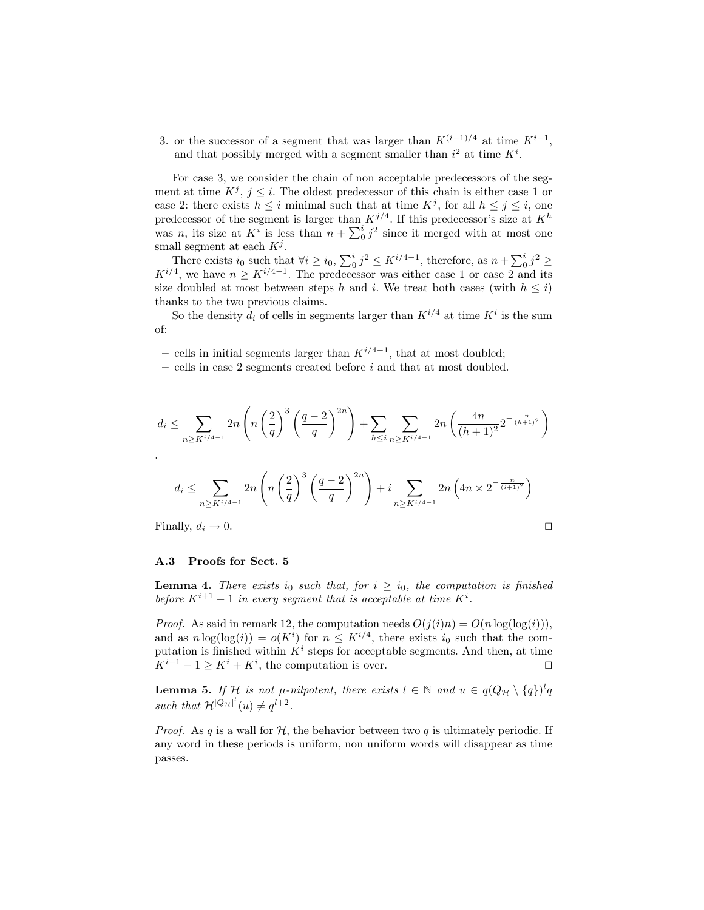3. or the successor of a segment that was larger than  $K^{(i-1)/4}$  at time  $K^{i-1}$ , and that possibly merged with a segment smaller than  $i^2$  at time  $K^i$ .

For case 3, we consider the chain of non acceptable predecessors of the segment at time  $K^j$ ,  $j \leq i$ . The oldest predecessor of this chain is either case 1 or case 2: there exists  $h \leq i$  minimal such that at time  $K^j$ , for all  $h \leq j \leq i$ , one predecessor of the segment is larger than  $K^{j/4}$ . If this predecessor's size at  $K^h$ was *n*, its size at  $K^i$  is less than  $n + \sum_0^i j^2$  since it merged with at most one small segment at each  $K^j$ .

There exists  $i_0$  such that  $\forall i \geq i_0$ ,  $\sum_0^i j^2 \leq K^{i/4-1}$ , therefore, as  $n + \sum_0^i j^2 \geq$  $K^{i/4}$ , we have  $n \geq K^{i/4-1}$ . The predecessor was either case 1 or case 2 and its size doubled at most between steps h and i. We treat both cases (with  $h \leq i$ ) thanks to the two previous claims.

So the density  $d_i$  of cells in segments larger than  $K^{i/4}$  at time  $K^i$  is the sum of:

– cells in initial segments larger than  $K^{i/4-1}$ , that at most doubled;

 $-$  cells in case 2 segments created before  $i$  and that at most doubled.

$$
d_i \leq \sum_{n \geq K^{i/4-1}} 2n \left( n \left( \frac{2}{q} \right)^3 \left( \frac{q-2}{q} \right)^{2n} \right) + \sum_{h \leq i} \sum_{n \geq K^{i/4-1}} 2n \left( \frac{4n}{(h+1)^2} 2^{-\frac{n}{(h+1)^2}} \right)
$$
  

$$
d_i \leq \sum_{n \geq K^{i/4-1}} 2n \left( n \left( \frac{2}{q} \right)^3 \left( \frac{q-2}{q} \right)^{2n} \right) + i \sum_{n \geq K^{i/4-1}} 2n \left( 4n \times 2^{-\frac{n}{(i+1)^2}} \right)
$$

Finally,  $d_i \to 0$ .

A.3 Proofs for Sect. 5

**Lemma 4.** There exists  $i_0$  such that, for  $i \geq i_0$ , the computation is finished

before  $K^{i+1} - 1$  in every segment that is acceptable at time  $K^i$ . *Proof.* As said in remark 12, the computation needs  $O(j(i)n) = O(n \log(\log(i)))$ ,

and as  $n \log(\log(i)) = o(K^i)$  for  $n \leq K^{i/4}$ , there exists  $i_0$  such that the computation is finished within  $K^i$  steps for acceptable segments. And then, at time  $K^{i+1} - 1 \geq K^i + K^i$ , the computation is over.

**Lemma 5.** If  $\mathcal{H}$  is not  $\mu$ -nilpotent, there exists  $l \in \mathbb{N}$  and  $u \in q(Q_{\mathcal{H}} \setminus \{q\})^l q$ such that  $\mathcal{H}^{[Q_H]^l}(u) \neq q^{l+2}$ .

*Proof.* As q is a wall for  $H$ , the behavior between two q is ultimately periodic. If any word in these periods is uniform, non uniform words will disappear as time passes.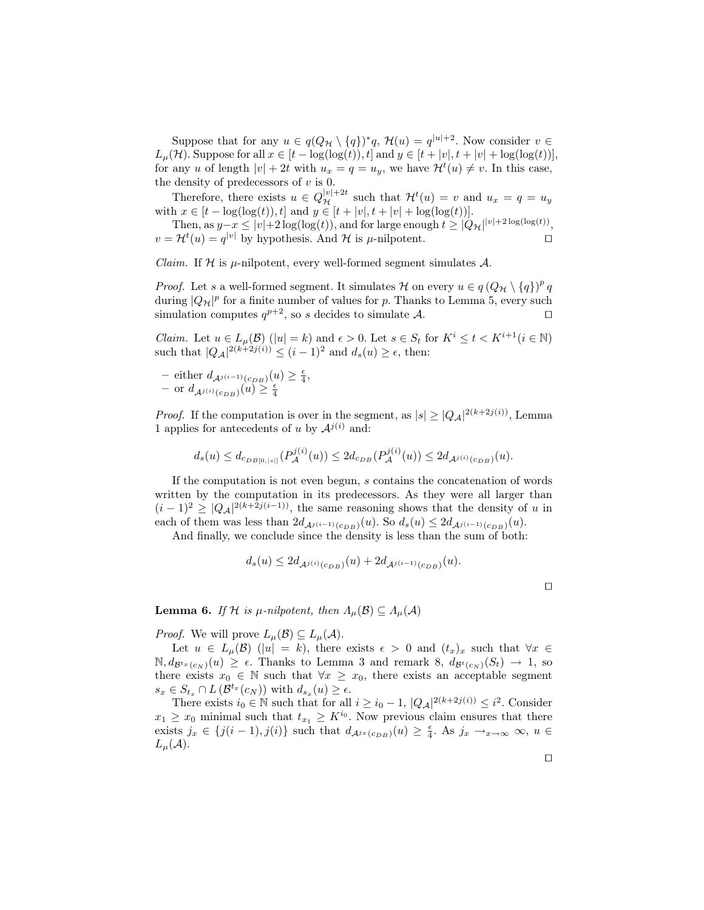Suppose that for any  $u \in q(Q_{\mathcal{H}} \setminus \{q\})^*q$ ,  $\mathcal{H}(u) = q^{|u|+2}$ . Now consider  $v \in$  $L_{\mu}(\mathcal{H})$ . Suppose for all  $x \in [t - \log(\log(t)), t]$  and  $y \in [t + |v|, t + |v| + \log(\log(t))]$ , for any u of length  $|v| + 2t$  with  $u_x = q = u_y$ , we have  $\mathcal{H}^t(u) \neq v$ . In this case, the density of predecessors of  $v$  is 0.

Therefore, there exists  $u \in Q_{\mathcal{H}}^{|v|+2t}$  such that  $\mathcal{H}^{t}(u) = v$  and  $u_x = q = u_y$ with  $x \in [t - \log(\log(t)), t]$  and  $y \in [t + |v|, t + |v| + \log(\log(t))]$ .

Then, as  $y-x \le |v|+2\log(\log(t))$ , and for large enough  $t \ge |Q_{\mathcal{H}}|^{|v|+2\log(\log(t))}$ ,  $v = \mathcal{H}^t(u) = q^{|v|}$  by hypothesis. And  $\mathcal{H}$  is  $\mu$ -nilpotent.

*Claim.* If  $H$  is  $\mu$ -nilpotent, every well-formed segment simulates A.

*Proof.* Let s a well-formed segment. It simulates H on every  $u \in q(Q_{\mathcal{H}} \setminus \{q\})^p q$ during  $|Q_{\mathcal{H}}|^p$  for a finite number of values for p. Thanks to Lemma 5, every such simulation computes  $q^{p+2}$ , so s decides to simulate A.

*Claim.* Let  $u \in L_{\mu}(\mathcal{B})$  ( $|u| = k$ ) and  $\epsilon > 0$ . Let  $s \in S_t$  for  $K^i \leq t < K^{i+1}$  ( $i \in \mathbb{N}$ ) such that  $|Q_A|^{2(k+2j(i))} \leq (i-1)^2$  and  $d_s(u) \geq \epsilon$ , then:

- either 
$$
d_{\mathcal{A}^{j(i-1)}(c_{DB})}(u) \geq \frac{\epsilon}{4}
$$
,  
- or  $d_{\mathcal{A}^{j(i)}(c_{DB})}(u) \geq \frac{\epsilon}{4}$ 

*Proof.* If the computation is over in the segment, as  $|s| \geq |Q_A|^{2(k+2j(i))}$ , Lemma 1 applies for antecedents of u by  $\mathcal{A}^{j(i)}$  and:

$$
d_s(u) \leq d_{c_{DB[0,|s|]}}(P_{\mathcal{A}}^{j(i)}(u)) \leq 2d_{c_{DB}}(P_{\mathcal{A}}^{j(i)}(u)) \leq 2d_{\mathcal{A}^{j(i)}(c_{DB})}(u).
$$

If the computation is not even begun, s contains the concatenation of words written by the computation in its predecessors. As they were all larger than  $(i-1)^2 \ge |Q_A|^{2(k+2j(i-1))}$ , the same reasoning shows that the density of u in each of them was less than  $2d_{\mathcal{A}^{j(i-1)}(c_{DB})}(u)$ . So  $d_s(u) \leq 2d_{\mathcal{A}^{j(i-1)}(c_{DB})}(u)$ .

And finally, we conclude since the density is less than the sum of both:

$$
d_s(u) \le 2d_{\mathcal{A}^{j(i)}(c_{DB})}(u) + 2d_{\mathcal{A}^{j(i-1)}(c_{DB})}(u).
$$

 $\Box$ 

**Lemma 6.** If H is  $\mu$ -nilpotent, then  $\Lambda_{\mu}(\mathcal{B}) \subseteq \Lambda_{\mu}(\mathcal{A})$ 

*Proof.* We will prove  $L_u(\mathcal{B}) \subseteq L_u(\mathcal{A})$ .

Let  $u \in L_{\mu}(\mathcal{B})$  (|u| = k), there exists  $\epsilon > 0$  and  $(t_x)_x$  such that  $\forall x \in$  $\mathbb{N}, d_{\mathcal{B}^t x(c_N)}(u) \geq \epsilon$ . Thanks to Lemma 3 and remark 8,  $d_{\mathcal{B}^t(c_N)}(S_t) \rightarrow 1$ , so there exists  $x_0 \in \mathbb{N}$  such that  $\forall x \geq x_0$ , there exists an acceptable segment  $s_x \in S_{t_x} \cap L(\mathcal{B}^{t_x}(c_N))$  with  $d_{s_x}(u) \geq \epsilon$ .

There exists  $i_0 \in \mathbb{N}$  such that for all  $i \geq i_0 - 1$ ,  $|Q_{\mathcal{A}}|^{2(k+2j(i))} \leq i^2$ . Consider  $x_1 \geq x_0$  minimal such that  $t_{x_1} \geq K^{i_0}$ . Now previous claim ensures that there exists  $j_x \in \{j(i-1), j(i)\}\$  such that  $d_{\mathcal{A}^{jx}(c_{DB})}(u) \geq \frac{\epsilon}{4}$ . As  $j_x \to_{x \to \infty} \infty$ ,  $u \in$  $L_{\mu}(\mathcal{A}).$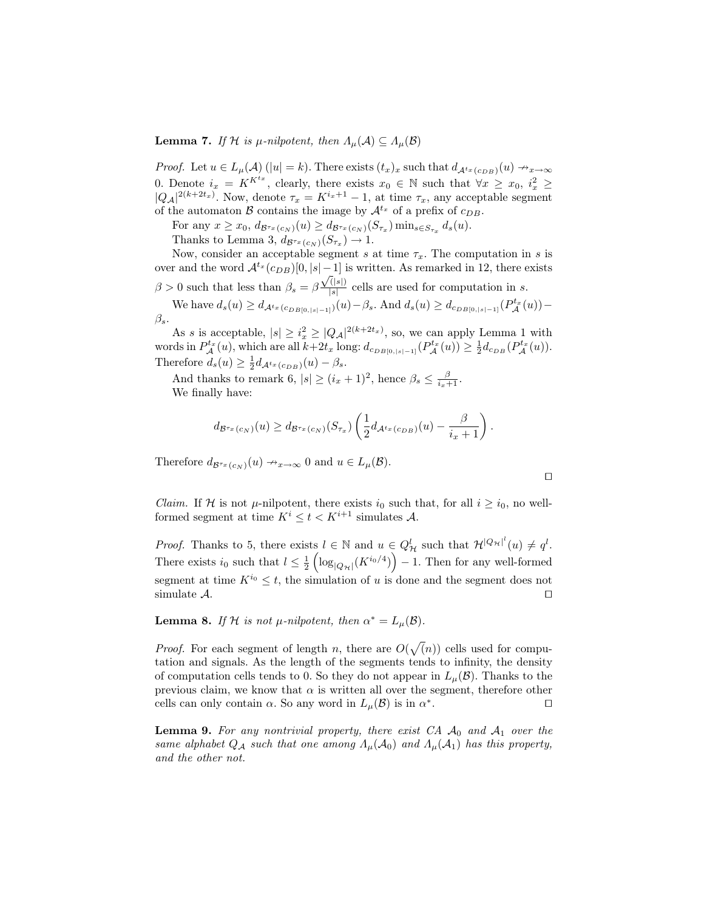# **Lemma 7.** If H is  $\mu$ -nilpotent, then  $\Lambda_{\mu}(\mathcal{A}) \subseteq \Lambda_{\mu}(\mathcal{B})$

*Proof.* Let  $u \in L_{\mu}(\mathcal{A})$  ( $|u| = k$ ). There exists  $(t_x)_x$  such that  $d_{\mathcal{A}^{t_x}(c_{DB})}(u) \rightarrow_{x \rightarrow \infty}$ 0. Denote  $i_x = K^{K^t x}$ , clearly, there exists  $x_0 \in \mathbb{N}$  such that  $\forall x \geq x_0, i_x^2 \geq$  $|Q_{\mathcal{A}}|^{2(k+2t_x)}$ . Now, denote  $\tau_x = K^{i_x+1} - 1$ , at time  $\tau_x$ , any acceptable segment of the automaton B contains the image by  $\mathcal{A}^{t_x}$  of a prefix of  $c_{DB}$ .

For any  $x \ge x_0$ ,  $d_{\mathcal{B}^{\tau_x}(c_N)}(u) \ge d_{\mathcal{B}^{\tau_x}(c_N)}(S_{\tau_x}) \min_{s \in S_{\tau_x}} d_s(u)$ . Thanks to Lemma 3,  $d_{\mathcal{B}^{\tau_x}(c_N)}(S_{\tau_x}) \to 1$ .

Now, consider an acceptable segment s at time  $\tau_x$ . The computation in s is over and the word  $\mathcal{A}^{t_x}(c_{DB})[0, |s| - 1]$  is written. As remarked in 12, there exists  $\beta > 0$  such that less than  $\beta_s = \beta$  $\sqrt{(|s|)}$  $\frac{\left(\vert s\vert\right)}{\vert s\vert}$  cells are used for computation in s.

We have  $d_s(u) \ge d_{\mathcal{A}^{t_x}(c_{DB[0, |s|-1]})}(u) - \beta_s$ . And  $d_s(u) \ge d_{c_{DB[0, |s|-1]}}(P_{\mathcal{A}}^{t_x}(u)) \beta_s$ .

As s is acceptable,  $|s| \geq i_x^2 \geq |Q_A|^{2(k+2t_x)}$ , so, we can apply Lemma 1 with words in  $P_{\mathcal{A}}^{t_x}(u)$ , which are all  $k+2t_x$  long:  $d_{c_{DB[0,|s|-1]}}(P_{\mathcal{A}}^{t_x}(u)) \geq \frac{1}{2}d_{c_{DB}}(P_{\mathcal{A}}^{t_x}(u))$ . Therefore  $d_s(u) \geq \frac{1}{2} d_{\mathcal{A}^{t_x}(c_{DB})}(u) - \beta_s$ .

And thanks to remark 6,  $|s| \geq (i_x + 1)^2$ , hence  $\beta_s \leq \frac{\beta}{i_x + 1}$ . We finally have:

$$
d_{\mathcal{B}^{\tau_x}(c_N)}(u) \geq d_{\mathcal{B}^{\tau_x}(c_N)}(S_{\tau_x})\left(\frac{1}{2}d_{\mathcal{A}^{t_x}(c_{DB})}(u)-\frac{\beta}{i_x+1}\right).
$$

Therefore  $d_{\mathcal{B}^{\tau_x}(c_N)}(u) \nrightarrow_{x \to \infty} 0$  and  $u \in L_{\mu}(\mathcal{B})$ .

*Claim.* If H is not  $\mu$ -nilpotent, there exists  $i_0$  such that, for all  $i \geq i_0$ , no wellformed segment at time  $K^i \leq t < K^{i+1}$  simulates A.

 $\Box$ 

*Proof.* Thanks to 5, there exists  $l \in \mathbb{N}$  and  $u \in Q^l_{\mathcal{H}}$  such that  $\mathcal{H}^{|Q_{\mathcal{H}}|^l}(u) \neq q^l$ . There exists  $i_0$  such that  $l \leq \frac{1}{2} \left( \log_{|Q_{\mathcal{H}}|}(K^{i_0/4}) \right) - 1$ . Then for any well-formed segment at time  $K^{i_0} \leq t$ , the simulation of u is done and the segment does not simulate  $\mathcal{A}$ . simulate  $\mathcal{A}$ .

**Lemma 8.** If H is not  $\mu$ -nilpotent, then  $\alpha^* = L_{\mu}(\mathcal{B})$ .

*Proof.* For each segment of length n, there are  $O(\sqrt{n})$  cells used for computation and signals. As the length of the segments tends to infinity, the density of computation cells tends to 0. So they do not appear in  $L_{\mu}(\mathcal{B})$ . Thanks to the previous claim, we know that  $\alpha$  is written all over the segment, therefore other cells can only contain  $\alpha$ . So any word in  $L_{\mu}(\mathcal{B})$  is in  $\alpha^*$ . The contraction of  $\Box$ 

**Lemma 9.** For any nontrivial property, there exist  $CA$   $\mathcal{A}_0$  and  $\mathcal{A}_1$  over the same alphabet  $Q_A$  such that one among  $\Lambda_\mu(\mathcal{A}_0)$  and  $\Lambda_\mu(\mathcal{A}_1)$  has this property, and the other not.